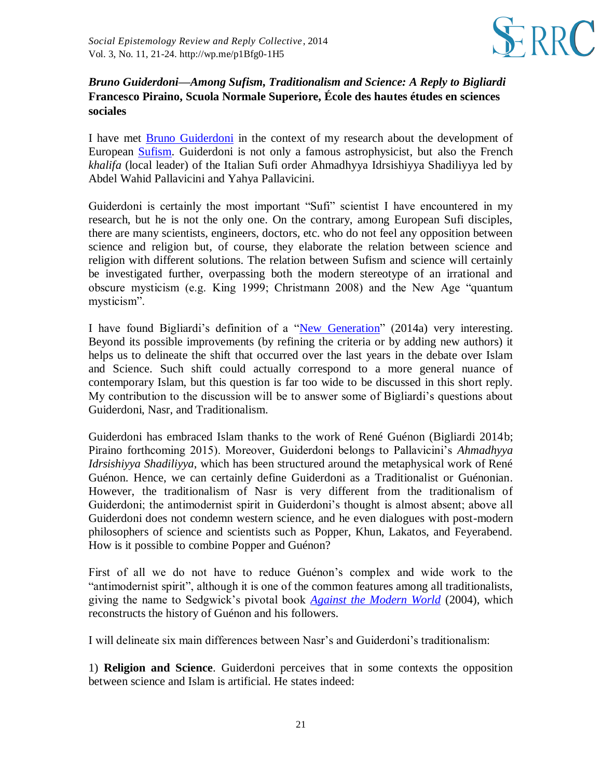

## *Bruno Guiderdoni—Among Sufism, Traditionalism and Science: A Reply to Bigliardi* **Francesco Piraino, Scuola Normale Superiore, École des hautes études en sciences sociales**

I have met [Bruno Guiderdoni](http://www.counterbalance.org/bio/guid-frame.html) in the context of my research about the development of European [Sufism.](http://en.wikipedia.org/wiki/Sufism) Guiderdoni is not only a famous astrophysicist, but also the French *khalifa* (local leader) of the Italian Sufi order Ahmadhyya Idrsishiyya Shadiliyya led by Abdel Wahid Pallavicini and Yahya Pallavicini.

Guiderdoni is certainly the most important "Sufi" scientist I have encountered in my research, but he is not the only one. On the contrary, among European Sufi disciples, there are many scientists, engineers, doctors, etc. who do not feel any opposition between science and religion but, of course, they elaborate the relation between science and religion with different solutions. The relation between Sufism and science will certainly be investigated further, overpassing both the modern stereotype of an irrational and obscure mysticism (e.g. King 1999; Christmann 2008) and the New Age "quantum mysticism".

I have found Bigliardi's definition of a ["New Generation"](http://www.tandfonline.com/doi/abs/10.1080/02691728.2013.782583?journalCode=tsep20#.VC626_ldVec) (2014a) very interesting. Beyond its possible improvements (by refining the criteria or by adding new authors) it helps us to delineate the shift that occurred over the last years in the debate over Islam and Science. Such shift could actually correspond to a more general nuance of contemporary Islam, but this question is far too wide to be discussed in this short reply. My contribution to the discussion will be to answer some of Bigliardi's questions about Guiderdoni, Nasr, and Traditionalism.

Guiderdoni has embraced Islam thanks to the work of René Guénon (Bigliardi 2014b; Piraino forthcoming 2015). Moreover, Guiderdoni belongs to Pallavicini's *Ahmadhyya Idrsishiyya Shadiliyya*, which has been structured around the metaphysical work of René Guénon. Hence, we can certainly define Guiderdoni as a Traditionalist or Guénonian. However, the traditionalism of Nasr is very different from the traditionalism of Guiderdoni; the antimodernist spirit in Guiderdoni's thought is almost absent; above all Guiderdoni does not condemn western science, and he even dialogues with post-modern philosophers of science and scientists such as Popper, Khun, Lakatos, and Feyerabend. How is it possible to combine Popper and Guénon?

First of all we do not have to reduce Guénon's complex and wide work to the "antimodernist spirit", although it is one of the common features among all traditionalists, giving the name to Sedgwick's pivotal book *[Against the Modern World](http://books.google.com/books/about/Against_the_Modern_World_Traditionalism.html?id=GcUFmQ-NF_0C)* (2004), which reconstructs the history of Guénon and his followers.

I will delineate six main differences between Nasr's and Guiderdoni's traditionalism:

1) **Religion and Science**. Guiderdoni perceives that in some contexts the opposition between science and Islam is artificial. He states indeed: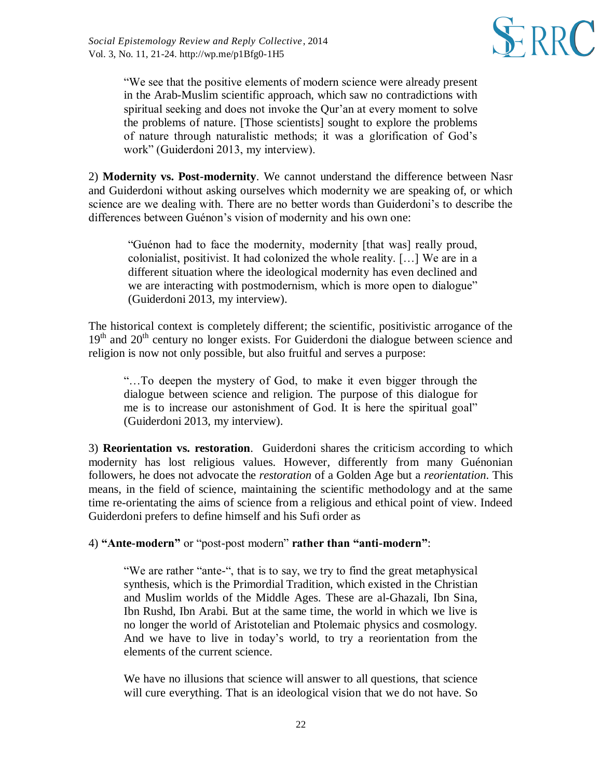

"We see that the positive elements of modern science were already present in the Arab-Muslim scientific approach, which saw no contradictions with spiritual seeking and does not invoke the Qur'an at every moment to solve the problems of nature. [Those scientists] sought to explore the problems of nature through naturalistic methods; it was a glorification of God's work" (Guiderdoni 2013, my interview).

2) **Modernity vs. Post-modernity**. We cannot understand the difference between Nasr and Guiderdoni without asking ourselves which modernity we are speaking of, or which science are we dealing with. There are no better words than Guiderdoni's to describe the differences between Guénon's vision of modernity and his own one:

"Guénon had to face the modernity, modernity [that was] really proud, colonialist, positivist. It had colonized the whole reality. […] We are in a different situation where the ideological modernity has even declined and we are interacting with postmodernism, which is more open to dialogue" (Guiderdoni 2013, my interview).

The historical context is completely different; the scientific, positivistic arrogance of the  $19<sup>th</sup>$  and  $20<sup>th</sup>$  century no longer exists. For Guiderdoni the dialogue between science and religion is now not only possible, but also fruitful and serves a purpose:

"…To deepen the mystery of God, to make it even bigger through the dialogue between science and religion. The purpose of this dialogue for me is to increase our astonishment of God. It is here the spiritual goal" (Guiderdoni 2013, my interview).

3) **Reorientation vs. restoration**. Guiderdoni shares the criticism according to which modernity has lost religious values. However, differently from many Guénonian followers, he does not advocate the *restoration* of a Golden Age but a *reorientation*. This means, in the field of science, maintaining the scientific methodology and at the same time re-orientating the aims of science from a religious and ethical point of view. Indeed Guiderdoni prefers to define himself and his Sufi order as

4) **"Ante-modern"** or "post-post modern" **rather than "anti-modern"**:

"We are rather "ante-", that is to say, we try to find the great metaphysical synthesis, which is the Primordial Tradition, which existed in the Christian and Muslim worlds of the Middle Ages. These are al-Ghazali, Ibn Sina, Ibn Rushd, Ibn Arabi. But at the same time, the world in which we live is no longer the world of Aristotelian and Ptolemaic physics and cosmology. And we have to live in today's world, to try a reorientation from the elements of the current science.

We have no illusions that science will answer to all questions, that science will cure everything. That is an ideological vision that we do not have. So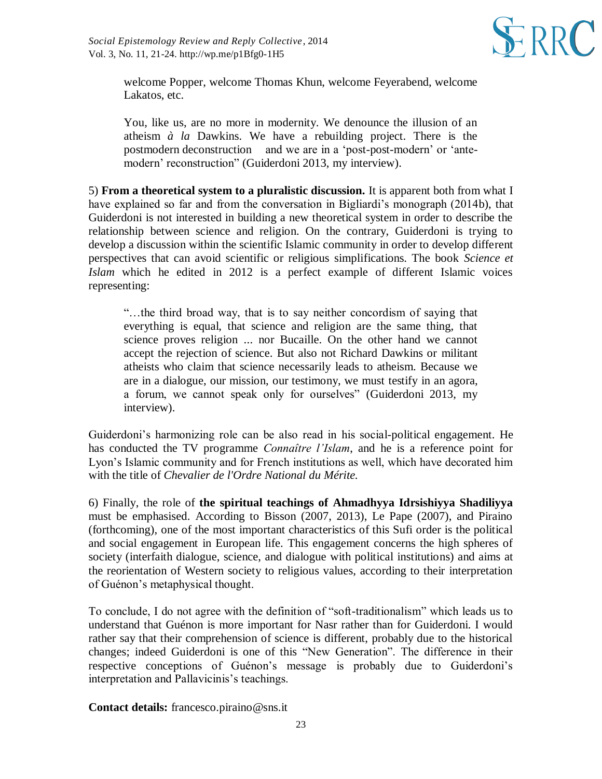

welcome Popper, welcome Thomas Khun, welcome Feyerabend, welcome Lakatos, etc.

You, like us, are no more in modernity. We denounce the illusion of an atheism *à la* Dawkins. We have a rebuilding project. There is the postmodern deconstruction and we are in a 'post-post-modern' or 'antemodern' reconstruction" (Guiderdoni 2013, my interview).

5) **From a theoretical system to a pluralistic discussion.** It is apparent both from what I have explained so far and from the conversation in Bigliardi's monograph (2014b), that Guiderdoni is not interested in building a new theoretical system in order to describe the relationship between science and religion. On the contrary, Guiderdoni is trying to develop a discussion within the scientific Islamic community in order to develop different perspectives that can avoid scientific or religious simplifications. The book *Science et Islam* which he edited in 2012 is a perfect example of different Islamic voices representing:

"…the third broad way, that is to say neither concordism of saying that everything is equal, that science and religion are the same thing, that science proves religion ... nor Bucaille. On the other hand we cannot accept the rejection of science. But also not Richard Dawkins or militant atheists who claim that science necessarily leads to atheism. Because we are in a dialogue, our mission, our testimony, we must testify in an agora, a forum, we cannot speak only for ourselves" (Guiderdoni 2013, my interview).

Guiderdoni's harmonizing role can be also read in his social-political engagement. He has conducted the TV programme *Connaître l'Islam*, and he is a reference point for Lyon's Islamic community and for French institutions as well, which have decorated him with the title of *Chevalier de l'Ordre National du Mérite.*

6) Finally, the role of **the spiritual teachings of Ahmadhyya Idrsishiyya Shadiliyya**  must be emphasised. According to Bisson (2007, 2013), Le Pape (2007), and Piraino (forthcoming), one of the most important characteristics of this Sufi order is the political and social engagement in European life. This engagement concerns the high spheres of society (interfaith dialogue, science, and dialogue with political institutions) and aims at the reorientation of Western society to religious values, according to their interpretation of Guénon's metaphysical thought.

To conclude, I do not agree with the definition of "soft-traditionalism" which leads us to understand that Guénon is more important for Nasr rather than for Guiderdoni. I would rather say that their comprehension of science is different, probably due to the historical changes; indeed Guiderdoni is one of this "New Generation". The difference in their respective conceptions of Guénon's message is probably due to Guiderdoni's interpretation and Pallavicinis's teachings.

**Contact details:** [francesco.piraino@sns.it](https://webmail.lu.se/owa/redir.aspx?C=6WoP1pEnQ0mLSMoPHp1zakqLzoY_qtEIGT9tBimvtUCgN6dgXT7tPFqSSJZOWbm7ZXzRZkEeTLQ.&URL=mailto%3afrancesco.piraino%40sns.it)